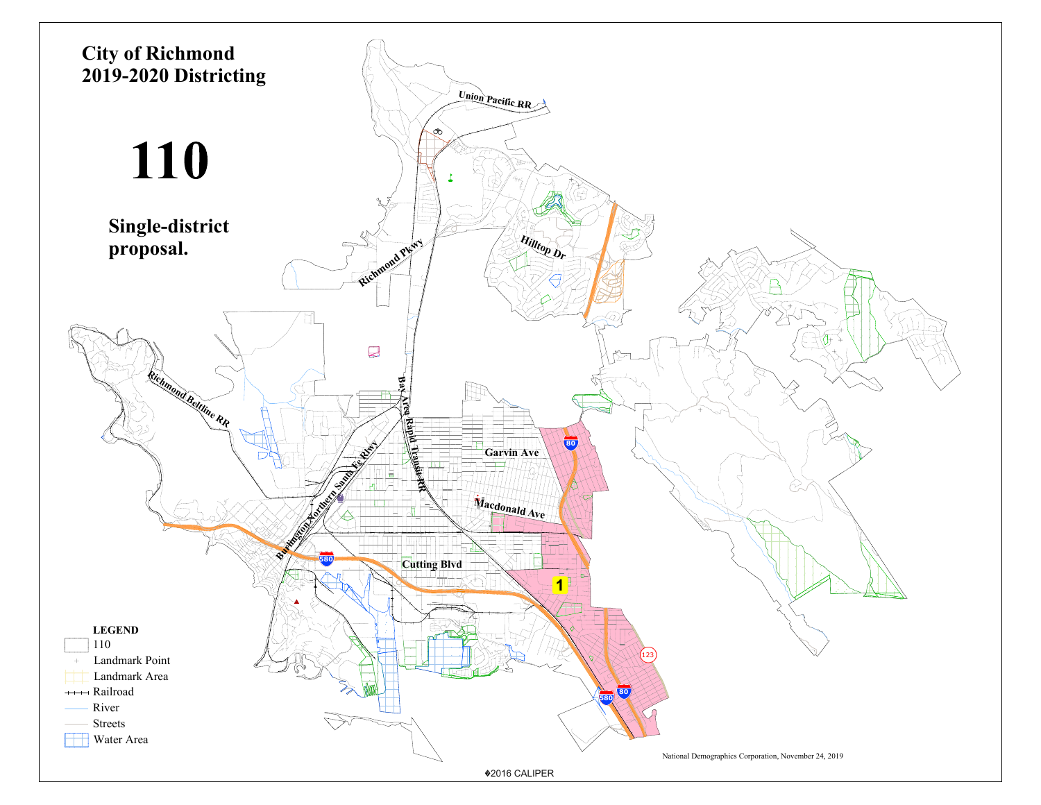